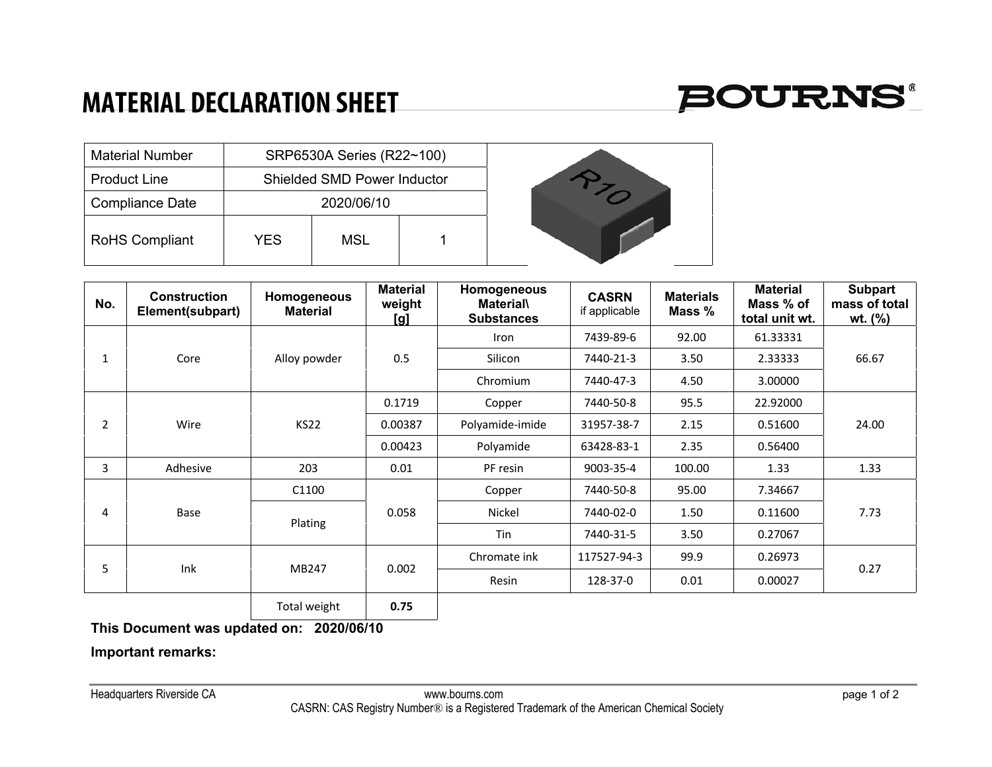## **MATERIAL DECLARATION SHEET**



| <b>Material Number</b> |     | SRP6530A Series (R22~100)          |  |  |
|------------------------|-----|------------------------------------|--|--|
| <b>Product Line</b>    |     | <b>Shielded SMD Power Inductor</b> |  |  |
| <b>Compliance Date</b> |     | 2020/06/10                         |  |  |
| <b>RoHS Compliant</b>  | YES | MSL                                |  |  |

| No.            | <b>Construction</b><br>Element(subpart) | <b>Homogeneous</b><br><b>Material</b> | <b>Material</b><br>weight<br><u>[g]</u> | Homogeneous<br><b>Material\</b><br><b>Substances</b> | <b>CASRN</b><br>if applicable | <b>Materials</b><br>Mass % | <b>Material</b><br>Mass % of<br>total unit wt. | <b>Subpart</b><br>mass of total<br>wt. (%) |
|----------------|-----------------------------------------|---------------------------------------|-----------------------------------------|------------------------------------------------------|-------------------------------|----------------------------|------------------------------------------------|--------------------------------------------|
| $\mathbf{1}$   | Core                                    | Alloy powder                          | 0.5                                     | Iron                                                 | 7439-89-6                     | 92.00                      | 61.33331                                       | 66.67                                      |
|                |                                         |                                       |                                         | Silicon                                              | 7440-21-3                     | 3.50                       | 2.33333                                        |                                            |
|                |                                         |                                       |                                         | Chromium                                             | 7440-47-3                     | 4.50                       | 3.00000                                        |                                            |
| $\overline{2}$ | Wire                                    | <b>KS22</b>                           | 0.1719                                  | Copper                                               | 7440-50-8                     | 95.5                       | 22.92000                                       | 24.00                                      |
|                |                                         |                                       | 0.00387                                 | Polyamide-imide                                      | 31957-38-7                    | 2.15                       | 0.51600                                        |                                            |
|                |                                         |                                       | 0.00423                                 | Polyamide                                            | 63428-83-1                    | 2.35                       | 0.56400                                        |                                            |
| 3              | Adhesive                                | 203                                   | 0.01                                    | PF resin                                             | 9003-35-4                     | 100.00                     | 1.33                                           | 1.33                                       |
| 4              | Base                                    | C1100                                 | 0.058                                   | Copper                                               | 7440-50-8                     | 95.00                      | 7.34667                                        | 7.73                                       |
|                |                                         | Plating                               |                                         | Nickel                                               | 7440-02-0                     | 1.50                       | 0.11600                                        |                                            |
|                |                                         |                                       |                                         | Tin                                                  | 7440-31-5                     | 3.50                       | 0.27067                                        |                                            |
| 5              | Ink                                     | MB247                                 | 0.002                                   | Chromate ink                                         | 117527-94-3                   | 99.9                       | 0.26973                                        | 0.27                                       |
|                |                                         |                                       |                                         | Resin                                                | 128-37-0                      | 0.01                       | 0.00027                                        |                                            |
|                |                                         | Total weight                          | 0.75                                    |                                                      |                               |                            |                                                |                                            |

**This Document was updated on: 2020/06/10**

**Important remarks:**